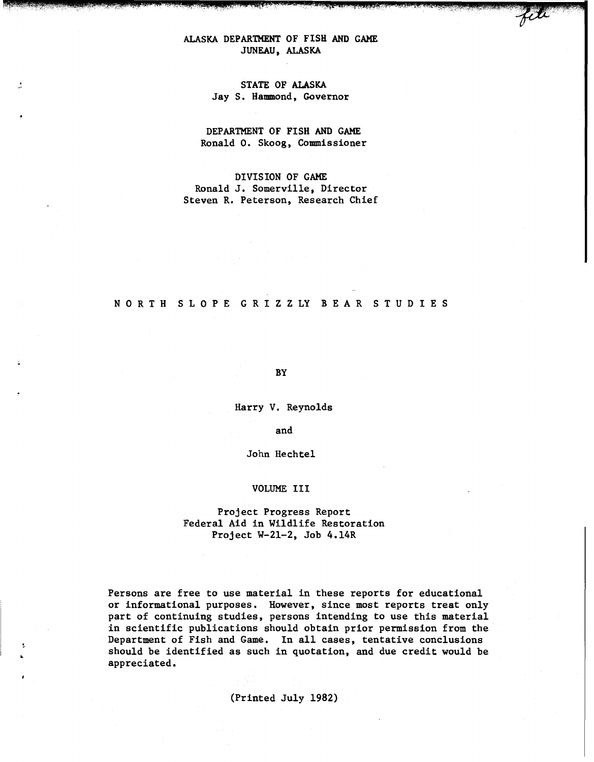# ALASKA DEPARTMENT OF FISH AND GAME JUNEAU, ALASKA

, r: ...

# STATE OF ALASKA Jay S. Hammond, Governor

DEPARTMENT OF FISH AND GAME Ronald 0. Skoog, Commissioner

DIVISION OF GAME Ronald J. Somerville, Director Steven R. Peterson, Research Chief

## N 0 R T H S L 0 P E G R I Z Z LY B E A R S T U D I E S

BY

Harry V. Reynolds

and

John Hechtel

#### VOLUME III

# Project Progress Report Federal Aid in Wildlife Restoration Project W-21-2, Job 4.14R

Persons are free to use material in these reports for educational or informational purposes. However, since most reports treat only part of continuing studies, persons intending to use this material in scientific publications should obtain prior permission from the Department of Fish and Game. In all cases, tentative conclusions should be identified as such in quotation, and due credit would be appreciated.

(Printed July 1982)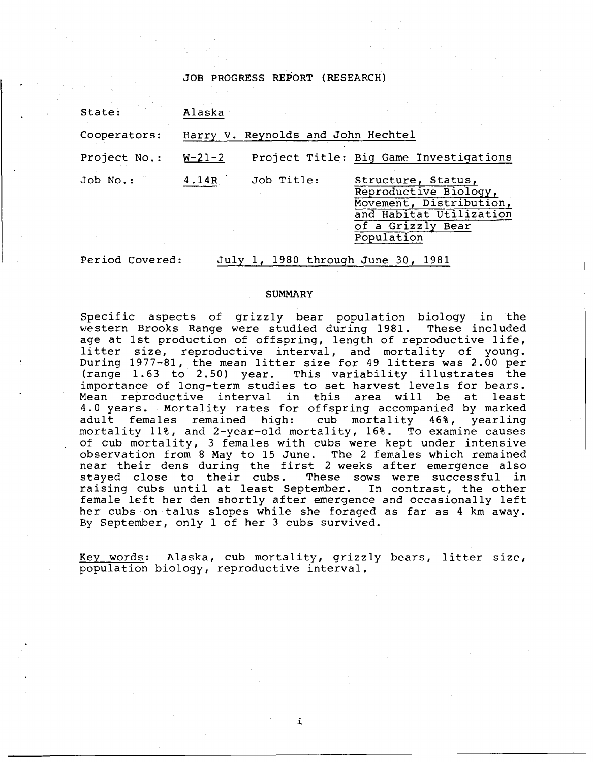JOB PROGRESS REPORT (RESEARCH)

| State:       | Alaska       |                                    |                                                                                                                                      |
|--------------|--------------|------------------------------------|--------------------------------------------------------------------------------------------------------------------------------------|
| Cooperators: |              | Harry V. Reynolds and John Hechtel |                                                                                                                                      |
| Project No.: | $W - 21 - 2$ |                                    | Project Title: Big Game Investigations                                                                                               |
| $Job No.$ :  | 4.14R        | Job Title:                         | Structure, Status,<br>Reproductive Biology,<br>Movement, Distribution,<br>and Habitat Utilization<br>of a Grizzly Bear<br>Population |

Period Covered: July 1, 1980 through June 30, 1981

#### **SUMMARY**

Specific aspects of grizzly bear population biology in the western Brooks Range were studied during 1981. These included age at 1st production of offspring, length of reproductive life, litter size, reproductive interval, and mortality of young. During 1977-81, the mean litter size for 49 litters was 2.00 per (range 1.63 to 2.50) year. This variability illustrates the importance of long-term studies to set harvest levels for bears. Mean reproductive interval in this area will be at least 4.0 years. Mortality rates for offspring accompanied by marked<br>adult females remained high: cub mortality 46%, yearling adult females remained high: mortality 11%, and 2-year-old mortality, 16%. To examine causes of cub mortality, 3 females with cubs were kept under intensive observation from 8 May to 15 June. The 2 females which remained near their dens during the first 2 weeks after emergence also stayed close to their cubs. These sows were successful in raising cubs until at least September. In contrast, the other female left her den shortly after emergence and occasionally left her cubs on talus slopes while she foraged as far as 4 km away. By September, only 1 of her 3 cubs survived.

Key words: Alaska, cub mortality, grizzly bears, litter size, population biology, reproductive interval.

i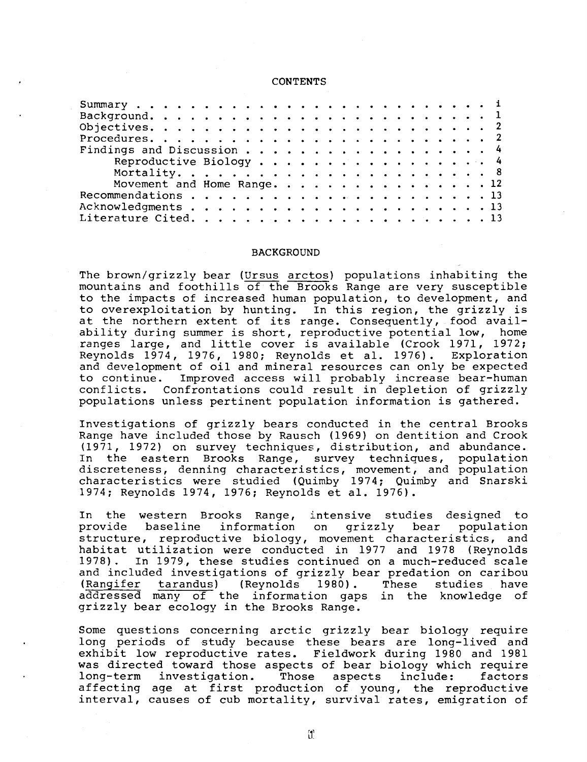#### **CONTENTS**

| Findings and Discussion 4   |  |
|-----------------------------|--|
| Reproductive Biology 4      |  |
|                             |  |
| Movement and Home Range. 12 |  |
|                             |  |
|                             |  |
|                             |  |
|                             |  |

#### BACKGROUND

The brown/grizzly bear (Ursus arctos) populations inhabiting the mountains and foothills of the Brooks Range are very susceptible to the impacts of increased human population, to development, and to overexploitation by hunting. In this region, the grizzly is co overexprofundion by nunting. In this region, the grizzly I<br>at the northern extent of its range. Consequently, food avail ability during summer is short, reproductive potential low, home ranges large, and little cover is available (Crook 1971, 1972; Reynolds 1974, 1976, 1980; Reynolds et al. 1976). Exploration and development of oil and mineral resources can only be expected<br>to continue. Improved access will probably increase bear-human Improved access will probably increase bear-human conflicts. Confrontations could result in depletion of grizzly populations unless pertinent population information is gathered.

Investigations of grizzly bears conducted in the central Brooks Range have included those by Rausch (1969) on dentition and Crook (1971, 1972) on survey techniques, distribution, and abundance. In the eastern Brooks Range, survey techniques, population discreteness, denning characteristics, movement, and population characteristics were studied (Quimby 1974; Quimby and Snarski 1974; Reynolds 1974, 1976; Reynolds et al. 1976).

In the western Brooks Range, intensive studies designed to provide baseline information on grizzly bear population structure, reproductive biology, movement characteristics, and habitat utilization were conducted in 1977 and 1978 (Reynolds<br>1978). In 1979, these studies continued on a much-reduced scale 1978). In 1979, these studies continued on a much-reduced scale and included investigations of grizzly bear predation on caribou<br>(Rangifer tarandus) (Reynolds 1980). These studies have (Rangifer tarandus) (Reynolds 1980) . These studies have addressed many of the information gaps in the knowledge of grizzly bear ecology in the Brooks Range.

Some questions concerning arctic grizzly bear biology require long periods of study because these bears are long-lived and exhibit low reproductive rates. Fieldwork during 1980 and 1981 was directed toward those aspects of bear biology which require<br>long-term investigation. Those aspects include: factors long-term investigation. affecting age at first production of young, the reproductive interval, causes of cub mortality, survival rates, emigration of

 $[1]$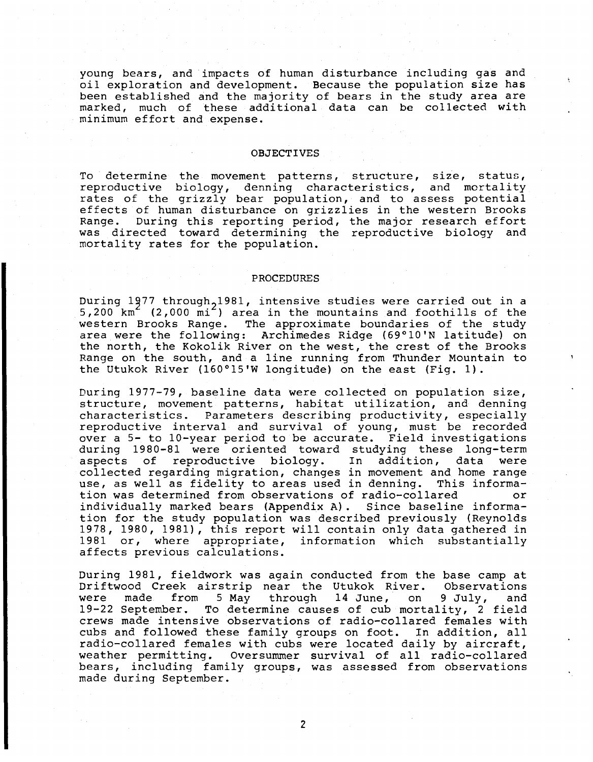young bears, and impacts of human disturbance including gas and oil exploration and development. Because the population size has been established and the majority of bears in the study area are marked, much of these additional data can be collected with minimum effort and expense.

#### OBJECTIVES

To determine the movement patterns, structure, size, status, reproductive biology, denning characteristics, and mortality rates of the grizzly bear population, and to assess potential effects of human disturbance on grizzlies in the western Brooks Range. During this reporting period, the major research effort was directed toward determining the reproductive biology and mortality rates for the population.

#### PROCEDURES

During 1977 through, 1981, intensive studies were carried out in a  $5,200$  km<sup>2</sup> (2,000 mi<sup>2</sup>) area in the mountains and foothills of the western Brooks Range. The approximate boundaries of the study area were the following: Archimedes Ridge (69°10'N latitude) on the north, the Kokolik River on the west, the crest of the Brooks Range on the south, and a line running from Thunder Mountain to the Utukok River (160°15'W longitude) on the east (Fig. 1).

During 1977-79, baseline data were collected on population size, structure, movement patterns, habitat utilization, and denning characteristics. Parameters describing productivity, especially reproductive interval and survival of young, must be recorded over a 5- to 10-year period to be accurate. Field investigations during 1980-81 were oriented toward studying these long-term<br>aspects of reproductive biology. In addition, data were aspects of reproductive biology. In addition, data were collected regarding migration, changes in movement and home range<br>use, as well as fidelity to areas used in denning. This informause, as well as fidelity to areas used in denning. tion was determined from observations of radio-collared or individually marked bears (Appendix A). Since baseline information for the study population was described previously (Reynolds 1978, 1980, 1981), this report will contain only data gathered in 1981 or, where appropriate, information which substantially affects previous calculations.

During 1981, fieldwork was again conducted from the base camp at<br>Driftwood Creek airstrip near the Utukok River. Observations Driftwood Creek airstrip near the Utukok River. Observations<br>were made from 5 May through 14 June, on 9 July, and through 14 June, 19-22 September. To determine causes of cub mortality, 2 field crews made intensive observations of radio-collared females with cubs and followed these family groups on foot. In addition, all radio-collared females with cubs were located daily by aircraft, weather permitting. Oversummer survival of all radio-collared bears, including family groups, was assessed from observations made during September.

2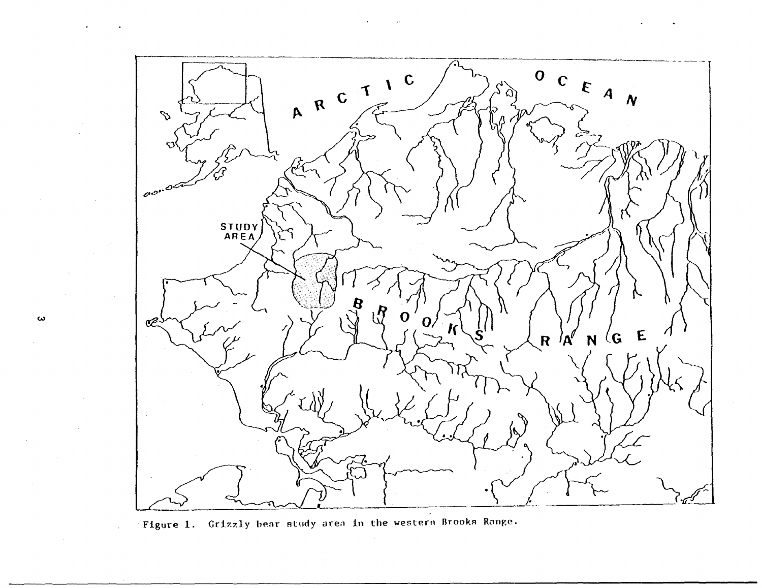

Figure 1. Grizzly bear study area in the western Brooks Range.

 $\pmb{\omega}$ 

 $\mathcal{L}^{\mathcal{L}}$ 

 $\bullet$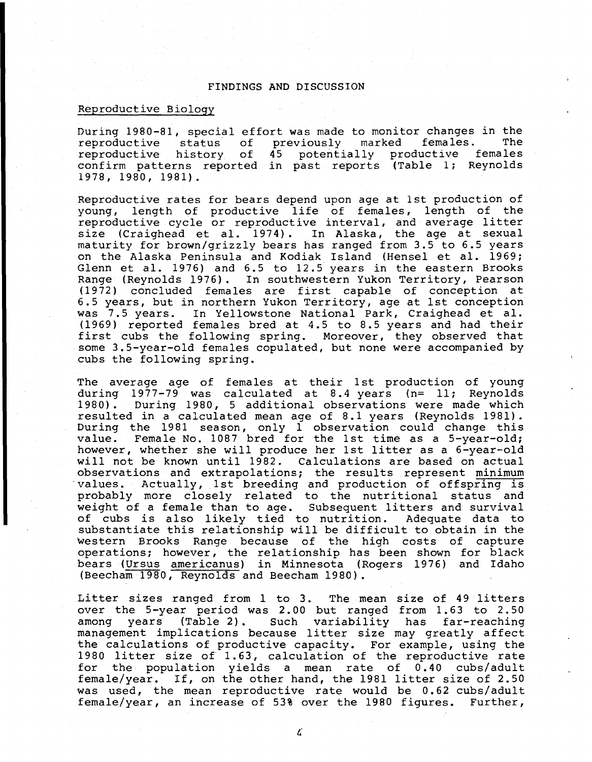## FINDINGS AND DISCUSSION

# Reproductive Biology

During 1980-81, special effort was made to monitor changes in the reproductive status of previously marked females. The reproductive status of previously marked females. The<br>reproductive history of 45 potentially productive females confirm patterns reported in past reports (Table 1; Reynolds 1978, 1980, 1981).

Reproductive rates for bears depend upon age at 1st production of young, length of productive life of females, length of the reproductive cycle or reproductive interval, and average litter size (Craighead et al. 1974). In Alaska, the age at sexual maturity for brown/grizzly bears has ranged from 3.5 to 6.5 years on the Alaska Peninsula and Kodiak Island (Hensel et al. 1969; Glenn et al. 1976) and 6.5 to 12.5 years in the eastern Brooks Range (Reynolds 1976). In southwestern Yukon Territory, Pearson (1972) concluded females are first capable of conception at 6.5 years, but in northern Yukon Territory, age at 1st conception was 7.5 years. In Yellowstone National Park, Craighead et al. (1969) reported females bred at 4.5 to 8.5 years and had their first cubs the following spring. Moreover, they observed that some 3.5-year-old females copulated, but none were accompanied by cubs the following spring.

The average age of females at their 1st production of young during 1977-79 was calculated at 8.4 years (n= 11; Reynolds 1980). During 1980, 5 additional observations were made which During 1980, 5 additional observations were made which resulted in a calculated mean age of 8.1 years (Reynolds 1981). During the 1981 season, only  $1$  observation could change this value. Female No. 1087 bred for the 1st time as a 5-year-old; Female No. 1087 bred for the 1st time as a 5-year-old; however, whether she will produce her 1st litter as a 6-year-old will not be known until 1982. Calculations are based on actual observations and extrapolations; the results represent minimum values. Actually, 1st breeding and production of offspring is probably more closely related to the nutritional status and weight of a female than to age. Subsequent litters and survival<br>of cubs is also likely tied to nutrition. Adequate data to of cubs is also likely tied to nutrition. substantiate this relationship will be difficult to obtain in the western Brooks Range because of the high costs of capture operations; however, the relationship has been shown for black bears (Ursus americanus) in Minnesota (Rogers 1976) and Idaho (Beecham 1980, Reynolds and Beecham 1980).

Litter sizes ranged from 1 to 3. The mean size of 49 litters over the 5-year period was 2. 00 but ranged from 1. 63 to 2. 50 among years (Table 2). Such variability has far-reaching management implications because litter size may greatly affect the calculations of productive capacity. For example, using the 1980 litter size of 1.63, calculation of the reproductive rate for the population yields a mean rate of 0.40 cubs/adult female/year. If, on the other hand, the 1981 litter size of 2.50 was used, the mean reproductive rate would be 0. 62 cubs/adult female/year, an increase of 53% over the 1980 figures. Further,

 $\mathcal{L}$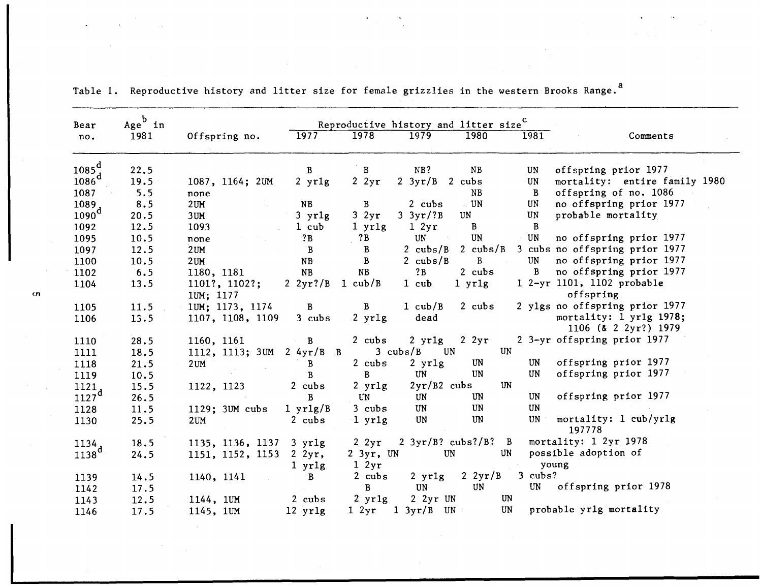| Bear                          | $Age^b$ in |                            |                             | Reproductive history and litter size <sup>C</sup> |                                |                            |              |                                                 |
|-------------------------------|------------|----------------------------|-----------------------------|---------------------------------------------------|--------------------------------|----------------------------|--------------|-------------------------------------------------|
| no.                           | 1981       | Offspring no.              | 1977                        | 1978                                              | 1979                           | 1980                       | 1981         | Comments                                        |
| $1085^{d}$                    | 22.5       |                            | B                           | B                                                 | NB?                            | NB                         | UN           | offspring prior 1977                            |
| $1086^d$                      | 19.5       | 1087, 1164; 2UM            | $2$ yr $1g$                 | $2 \, 2yr$                                        | $2 \frac{3 \text{yr}}{B}$      | 2 cubs                     | UN           | mortality: entire family 1980                   |
| 1087                          | 5.5        | none                       |                             |                                                   |                                | NB                         | $\mathbf{B}$ | offspring of no. 1086                           |
|                               | 8.5        | $2$ UM                     | <b>NB</b>                   | $\mathbf{B}$                                      | 2 cubs                         | U <sub>N</sub>             | UN           | no offspring prior 1977                         |
| $\frac{1089}{1090}$ d         | 20.5       | 3 <sub>U</sub> M           | $3$ yrlg                    | 32yr                                              | $3 \frac{3 \text{yr}}{3}$      | <b>UN</b>                  | $\,$ UN $\,$ | probable mortality                              |
| 1092                          | 12.5       | 1093                       | 1 cub                       | 1 yr1g                                            | 12yr                           | B                          | $\, {\bf B}$ |                                                 |
| 1095                          | 10.5       | none                       | ?B                          | ?B                                                | <b>UN</b>                      | <b>UN</b>                  | <b>UN</b>    | no offspring prior 1977                         |
| 1097                          | 12.5       | $2$ UM                     | $\, {\bf B}$                | $\mathbf{B}$                                      | 2 $\text{cubs/B}$              | 2 $\text{cubs/B}$          |              | 3 cubs no offspring prior 1977                  |
| 1100                          | 10.5       | 2 <sub>UM</sub>            | <b>NB</b>                   | $\mathbf{B}$                                      | 2 $cubs/B$                     | $\mathbf{B}$               | <b>UN</b>    | no offspring prior 1977                         |
| 1102                          | 6.5        | 1180, 1181                 | <b>NB</b>                   | NB                                                | ?B                             | 2 cubs                     | B            | no offspring prior 1977                         |
| 1104                          | 13.5       | 1101?, 1102?;<br>1UM; 1177 | 2 $2yr$ ?/B                 | 1 $\text{cub}/\text{B}$                           | $1$ cub                        | $1$ yr $1g$                |              | 1 2-yr 1101, 1102 probable<br>offspring         |
| 1105                          | 11.5       | 1UM; 1173, 1174            | $\mathbf{B}$                | $\mathbf{B}$                                      | $1 \text{ cub}/B$              | $2$ cubs                   |              | 2 ylgs no offspring prior 1977                  |
| 1106                          | 13.5       | 1107, 1108, 1109           | 3 cubs                      | $2 \text{ yr1g}$                                  | dead                           |                            |              | mortality: 1 yr1g 1978;<br>1106 (& 2 2yr?) 1979 |
| 1110                          | 28.5       | 1160, 1161                 | $\mathbf{B}$                | $2$ cubs                                          | $2 \text{ yr1g}$               | $2 \, 2yr$                 |              | 2 3-yr offspring prior 1977                     |
| 1111                          | 18.5       | 1112, 1113; 3UM            | $2 \frac{4}{yr}$ B B        |                                                   | $3 \text{ cubs}/B$<br>UN       |                            | UN           |                                                 |
| 1118                          | 21.5       | $2$ UM                     | B                           | $2$ cubs                                          | $2$ yr $1g$                    | $\,$ UN $\,$               | <b>UN</b>    | offspring prior 1977                            |
| 1119                          | 10.5       |                            | B                           | $\mathbf{B}$                                      | UN                             | UN                         | <b>UN</b>    | offspring prior 1977                            |
| 1121,                         | 15.5       | 1122, 1123                 | 2 cubs                      | $2$ yrlg                                          | $2yr/B2$ cubs                  |                            | <b>UN</b>    |                                                 |
| 1127 <sup>d</sup>             | 26.5       |                            | B                           | UN                                                | <b>UN</b>                      | UN                         | UN           | offspring prior 1977                            |
| 1128                          | 11.5       | 1129; 3UM cubs             | $1 \text{ yr1g/B}$          | $3$ cubs                                          | UN                             | UN                         | <b>UN</b>    |                                                 |
| 1130                          | 25.5       | 2UM                        | $2$ cubs                    | 1 yr1g                                            | UN                             | UN                         | UN           | mortality: 1 cub/yrlg<br>197778                 |
|                               | 18.5       | 1135, 1136, 1137           | $3$ yrlg                    | $2 \, 2yr$                                        | $2 \frac{3yr}{B}$ ? cubs?/B? B |                            |              | mortality: 1 2yr 1978                           |
| $\frac{1134}{1138}\mathrm{d}$ | 24.5       | 1151, 1152, 1153           | $2 \, 2yr$ ,<br>$1$ yr $1g$ | $2 \, 3yr$ , UN<br>$1 \, 2yr$                     | $\,$ UN $\,$                   |                            | UN           | possible adoption of<br>young                   |
| 1139                          | 14.5       | 1140, 1141                 | B                           | $2$ cubs                                          | $2 \text{ yr1g}$               | $2 \frac{2 \text{ yr}}{B}$ | $3$ cubs?    |                                                 |
| 1142                          | 17.5       |                            |                             | B                                                 | UN                             | UN                         |              | UN offspring prior 1978                         |
| 1143                          | 12.5       | 1144, 1UM                  | 2 cubs                      | $2$ yrlg                                          | $2$ $2yr$ UN                   |                            | UN           |                                                 |
| 1146                          | 17.5       | 1145, 1UM                  | $12$ yr $1g$                | $1 \, 2yr$                                        | $1 \frac{3yr}{B}$ UN           |                            | UN           | probable yrlg mortality                         |

Table 1. Reproductive history and litter size for female grizzlies in the western Brooks Range.<sup>a</sup>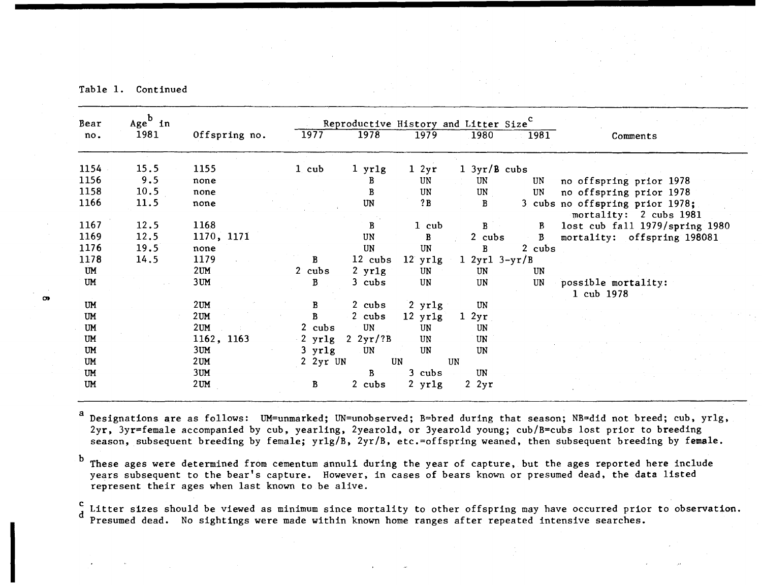Table 1. Continued

| Bear      | $Age^b$ in |                 |                   | Reproductive History and Litter Size <sup>C</sup> |                   |                        |              |                                                           |
|-----------|------------|-----------------|-------------------|---------------------------------------------------|-------------------|------------------------|--------------|-----------------------------------------------------------|
| no.       | 1981       | Offspring no.   | 1977              | 1978                                              | 1979              | 1980                   | 1981         | Comments                                                  |
| 1154      | 15.5       | 1155            | $1$ cub           | $1$ yr $1g$                                       |                   | $1 \frac{3yr}{B}$ cubs |              |                                                           |
| 1156      | 9.5        |                 |                   |                                                   | 12yr              |                        |              |                                                           |
|           |            | none            |                   | В                                                 | UN                | <b>UN</b>              | UN           | no offspring prior 1978                                   |
| 1158      | 10.5       | none            |                   | $\bf{B}$                                          | <b>UN</b>         | UN                     | <b>UN</b>    | no offspring prior 1978                                   |
| 1166      | 11.5       | none            |                   | UN                                                | ? B               | B                      |              | 3 cubs no offspring prior 1978;<br>mortality: 2 cubs 1981 |
| 1167      | 12.5       | 1168            |                   | $\, {\bf B}$                                      | $1$ cub           | B                      | B            | lost cub fall 1979/spring 1980                            |
| 1169      | 12.5       | 1170, 1171      |                   | UN                                                | B                 | 2 cubs                 | $\mathbf{B}$ | mortality: offspring 198081                               |
| 1176      | 19.5       | none            |                   | UN                                                | UN                | B                      | 2 cubs       |                                                           |
| 1178      | 14.5       | 1179            | $\, {\bf B}$      | 12 cubs                                           | $12$ yr $1g$      | $1 \, 2yr1 \, 3-yr/B$  |              |                                                           |
| <b>UM</b> |            | 2 <sub>UM</sub> | 2 cubs            | $2$ yr $1g$                                       | UN                | UN                     | UN           |                                                           |
| <b>UM</b> |            | 3UM             | B                 |                                                   | UN                |                        |              |                                                           |
|           |            |                 |                   | $3$ cubs                                          |                   | UN                     | UN           | possible mortality:<br>1 cub 1978                         |
| <b>UM</b> |            | 2UM             | В                 | 2 cubs                                            | $2$ yr $1g$       | UN                     |              |                                                           |
| <b>UM</b> |            | 2UM             | B                 | $2$ cubs                                          | $12 \text{ yr1g}$ | 2yr<br>1               |              |                                                           |
| UM        |            | 2UM             | $2$ cubs          | UN                                                | UN                | UN                     |              |                                                           |
| <b>UM</b> |            | 1162, 1163      | $\cdot$ 2<br>yrlg | 2 $2yr/?B$                                        | UN                | UN                     |              |                                                           |
| UM        |            | 3UM             | $3$ yr $1g$       | UN                                                | <b>UN</b>         | UN                     |              |                                                           |
| <b>UM</b> |            | 2UM             | 2 2yr UN          |                                                   | UN                | UN                     |              |                                                           |
| UM        |            | 3UM             |                   | B                                                 | $3$ cubs          | UN                     |              |                                                           |
| <b>UM</b> |            | 2 <sub>UM</sub> | B                 | 2 cubs                                            | $2$ yr $1g$       | $2 \, 2yr$             |              |                                                           |

 $a$  Designations are as follows: UM=unmarked; UN=unobserved; B=bred during that season; NB=did not breed; cub, yrlg, 2yr, 3yr=female accompanied by cub, yearling, 2yearold, or 3yearold young; cub/B=cubs lost prior to breeding season, subsequent breeding by female; yr1g/B, 2yr/B, etc.=offspring weaned, then subsequent breeding by female.

 $<sup>b</sup>$  These ages were determined from cementum annuli during the year of capture, but the ages reported here include</sup> years subsequent to the bear's capture. However, in cases of bears known or presumed dead, the data listed represent their ages when last known to be alive.

c Litter sizes should be viewed as minimum since mortality to other offspring may have occurred prior to observation. Presumed dead. No sightings were made within known home ranges after repeated intensive searches. c

൹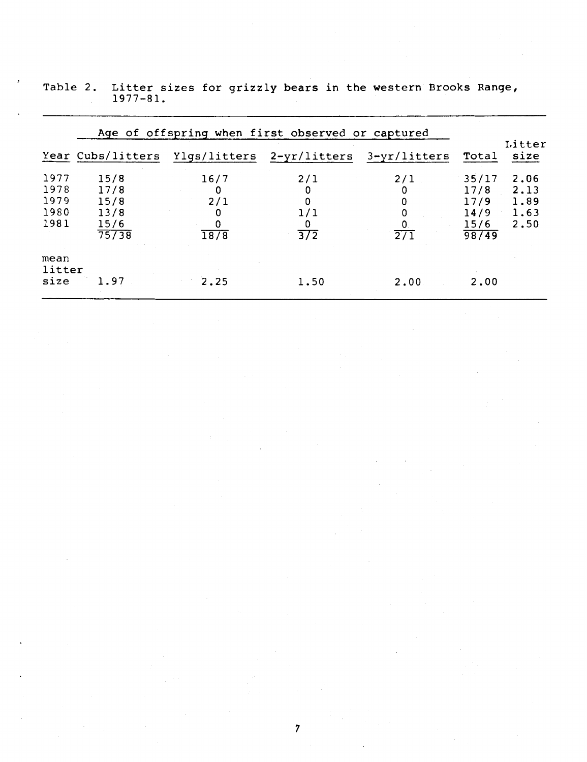|                                      | Age of offspring when first observed or captured |                                    |                                          |                                   |                                                |                                      |  |  |  |  |  |  |
|--------------------------------------|--------------------------------------------------|------------------------------------|------------------------------------------|-----------------------------------|------------------------------------------------|--------------------------------------|--|--|--|--|--|--|
|                                      | Year Cubs/litters                                |                                    | Ylgs/litters 2-yr/litters                | $3 - yr/litters$                  | Total                                          | Litter<br>size                       |  |  |  |  |  |  |
| 1977<br>1978<br>1979<br>1980<br>1981 | 15/8<br>17/8<br>15/8<br>13/8<br>15/6<br>75738    | 16/7<br>0<br>2/1<br>0<br>0<br>18/8 | 2/1<br>0<br>1/1<br>Ω<br>$\overline{372}$ | 2/1<br>0<br>0<br>$\overline{271}$ | 35/17<br>17/8<br>17/9<br>14/9<br>15/6<br>98/49 | 2,06<br>2.13<br>1.89<br>1.63<br>2.50 |  |  |  |  |  |  |
| mean<br>litter<br>size               | 1.97                                             | 2.25                               | 1.50                                     | 2.00                              | 2.00                                           |                                      |  |  |  |  |  |  |

|  |              |  |  |  | Table 2. Litter sizes for grizzly bears in the western Brooks Range, |  |
|--|--------------|--|--|--|----------------------------------------------------------------------|--|
|  | $1977 - 81.$ |  |  |  |                                                                      |  |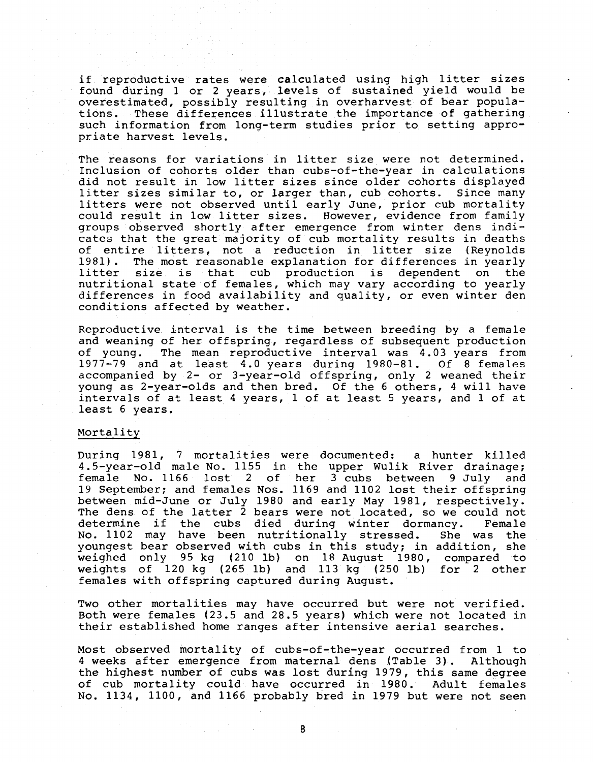if reproductive rates were calculated using high litter sizes found during 1 or 2 years, levels of sustained yield would be overestimated, possibly resulting in overharvest of bear popula-<br>tions. These differences illustrate the importance of gathering These differences illustrate the importance of gathering such information from long-term studies prior to setting appropriate harvest levels.

The reasons for variations in litter size were not determined. Inclusion of cohorts older than cubs-of-the-year in calculations did not result in low litter sizes since older cohorts displayed litter sizes similar to, or larger than, cub cohorts. Since many litters were not observed until early June, prior cub mortality could result in low litter sizes. However, evidence from family groups observed shortly after emergence from winter dens indicates that the great majority of cub mortality results in deaths of entire litters, not a reduction in litter size (Reynolds<br>1981). The most reasonable explanation for differences in vearly The most reasonable explanation for differences in yearly litter size is that cub production is dependent on the nutritional state of females, which may vary according to yearly differences in food availability and quality, or even winter den conditions affected by weather.

Reproductive interval is the time between breeding by a female and weaning of her offspring, regardless of subsequent production<br>of young. The mean reproductive interval was 4.03 years from The mean reproductive interval was 4.03 years from 1977-79 and at least 4. 0 years during 1980-81. Of 8 females accompanied by 2- or 3-year-old offspring, only 2 weaned their young as 2-year-olds and then bred. Of the 6 others, 4 will have intervals of at least 4 years, 1 of at least 5 years, and 1 of at least 6 years.

## Mortality

During 1981, 7 mortalities were documented: a hunter killed 4. 5-year-old male No. 1155 in the upper Wulik River drainage; female No. 1166 lost 2 of her 3 cubs between 9 July and 19 September; and females Nos. 1169 and 1102 lost their offspring between mid-June or July 1980 and early May 1981, respectively. The dens of the latter  $\hat{2}$  bears were not located, so we could not determine if the cubs died during winter dormancy. Female determine if the cubs died during winter dormancy. Female<br>No. 1102 may have been nutritionally stressed. She was the No. 1102 may have been nutritionally stressed. youngest bear observed with cubs in this study; in addition, she weighed only 95 kg (210 lb) on 18 August 1980, compared to weights of 120 kg (265 lb) and 113 kg (250 lb) for 2 other females with offspring captured during August.

Two other mortalities may have occurred but were not verified. Both were females (23.5 and 28.5 years) which were not located in their established home ranges after intensive aerial searches.

Most observed mortality of cubs-of-the-year occurred from 1 to 4 weeks after emergence from maternal dens (Table 3). Although the highest number of cubs was lost during 1979, this same degree of cub mortality could have occurred in 1980. Adult females No. 1134, 1100, and 1166 probably bred in 1979 but were not seen

8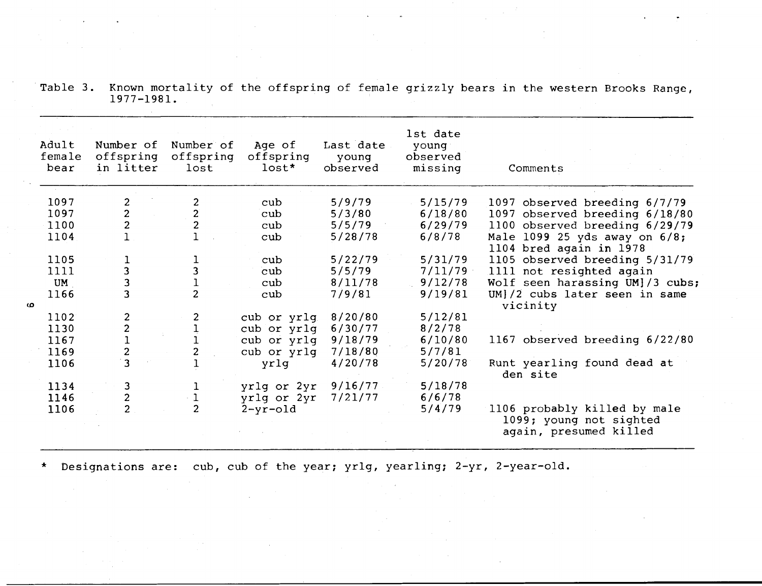Table 3. Known mortality of the offspring of female grizzly bears in the western Brooks Range, 1977-1981.

| lst date<br>Adult<br>Number of<br>Last date<br>Number of<br>Age of<br>young<br>female<br>offspring<br>offspring<br>offspring<br>observed<br>young<br>$lost*$<br>in litter<br>lost<br>observed<br>missing<br>bear<br>Comments<br>1097<br>2<br>2<br>5/9/79<br>5/15/79<br>cub<br>1097 observed breeding 6/7/79<br>$\overline{2}$<br>$\overline{c}$<br>1097<br>5/3/80<br>6/18/80<br>cub<br>1097 observed breeding 6/18/80<br>$\overline{c}$<br>$\overline{2}$<br>5/5/79<br>1100 observed breeding 6/29/79<br>1100<br>6/29/79<br>cub<br>1104<br>5/28/78<br>6/8/78<br>Male 1099 25 yds away on 6/8;<br>cub<br>1104 bred again in 1978<br>1105<br>5/22/79<br>5/31/79<br>1105 observed breeding 5/31/79<br>cub<br>ı<br>$\overline{3}$<br>3<br>1111<br>5/5/79<br>7/11/79<br>1111 not resighted again<br>cub<br>$\overline{\mathbf{3}}$<br>9/12/78<br>Wolf seen harassing UM]/3 cubs;<br>UM<br>8/11/78<br>cub |  |
|-----------------------------------------------------------------------------------------------------------------------------------------------------------------------------------------------------------------------------------------------------------------------------------------------------------------------------------------------------------------------------------------------------------------------------------------------------------------------------------------------------------------------------------------------------------------------------------------------------------------------------------------------------------------------------------------------------------------------------------------------------------------------------------------------------------------------------------------------------------------------------------------------------|--|
|                                                                                                                                                                                                                                                                                                                                                                                                                                                                                                                                                                                                                                                                                                                                                                                                                                                                                                     |  |
|                                                                                                                                                                                                                                                                                                                                                                                                                                                                                                                                                                                                                                                                                                                                                                                                                                                                                                     |  |
|                                                                                                                                                                                                                                                                                                                                                                                                                                                                                                                                                                                                                                                                                                                                                                                                                                                                                                     |  |
|                                                                                                                                                                                                                                                                                                                                                                                                                                                                                                                                                                                                                                                                                                                                                                                                                                                                                                     |  |
|                                                                                                                                                                                                                                                                                                                                                                                                                                                                                                                                                                                                                                                                                                                                                                                                                                                                                                     |  |
|                                                                                                                                                                                                                                                                                                                                                                                                                                                                                                                                                                                                                                                                                                                                                                                                                                                                                                     |  |
|                                                                                                                                                                                                                                                                                                                                                                                                                                                                                                                                                                                                                                                                                                                                                                                                                                                                                                     |  |
|                                                                                                                                                                                                                                                                                                                                                                                                                                                                                                                                                                                                                                                                                                                                                                                                                                                                                                     |  |
| $\overline{2}$<br>$\overline{3}$<br>1166<br>7/9/81<br>9/19/81<br>UM]/2 cubs later seen in same<br>cub<br>vicinity                                                                                                                                                                                                                                                                                                                                                                                                                                                                                                                                                                                                                                                                                                                                                                                   |  |
| 2<br>5/12/81<br>1102<br>2<br>8/20/80<br>cub or yrlg                                                                                                                                                                                                                                                                                                                                                                                                                                                                                                                                                                                                                                                                                                                                                                                                                                                 |  |
| 1130<br>6/30/77<br>8/2/78<br>cub or yrlg                                                                                                                                                                                                                                                                                                                                                                                                                                                                                                                                                                                                                                                                                                                                                                                                                                                            |  |
| $\frac{2}{1}$<br>9/18/79<br>1167 observed breeding 6/22/80<br>1167<br>cub or yrlg<br>6/10/80                                                                                                                                                                                                                                                                                                                                                                                                                                                                                                                                                                                                                                                                                                                                                                                                        |  |
| $\overline{\mathbf{c}}$<br>2<br>7/18/80<br>5/7/81<br>1169<br>cub or yrlq                                                                                                                                                                                                                                                                                                                                                                                                                                                                                                                                                                                                                                                                                                                                                                                                                            |  |
| $\overline{\mathbf{3}}$<br>Runt yearling found dead at<br>yrlg<br>4/20/78<br>5/20/78<br>1106<br>den site                                                                                                                                                                                                                                                                                                                                                                                                                                                                                                                                                                                                                                                                                                                                                                                            |  |
| 9/16/77<br>5/18/78<br>1134<br>3<br>yrlg or 2yr<br>T                                                                                                                                                                                                                                                                                                                                                                                                                                                                                                                                                                                                                                                                                                                                                                                                                                                 |  |
| $\mathbf 1$<br>$\overline{\mathbf{c}}$<br>1146<br>yrlg or 2yr<br>7/21/77<br>6/6/78                                                                                                                                                                                                                                                                                                                                                                                                                                                                                                                                                                                                                                                                                                                                                                                                                  |  |
| $\overline{2}$<br>$\overline{2}$<br>5/4/79<br>1106 probably killed by male<br>1106<br>$2 - yr - old$<br>1099; young not sighted<br>again, presumed killed                                                                                                                                                                                                                                                                                                                                                                                                                                                                                                                                                                                                                                                                                                                                           |  |

\* Designations are: cub, cub of the year; yrlg, yearling; 2-yr, 2-year-old.

മ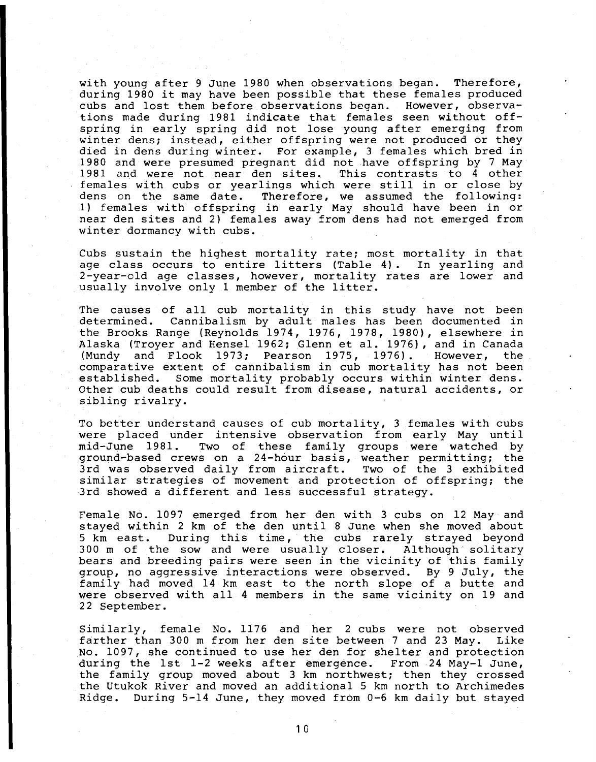with young after 9 June 1980 when observations began. Therefore, during 1980 it may have been possible that these females produced cubs and lost them before observations began. However, observations made during 1981 indicate that females seen without offspring in early spring did not lose young after emerging from winter dens; instead, either offspring were not produced or they died in dens during winter. For example, 3 females which bred in 1980 and were presumed pregnant did not have offspring by 7 May 1981 and were not near den sites. This contrasts to 4 other females with cubs or yearlings which were still in or close by dens on the same date. Therefore, we assumed the following: Therefore, we assumed the following: 1) females with offspring in early May should have been in or near den sites and 2) females away from dens had not emerged from winter dormancy with cubs.

Cubs sustain the highest mortality rate; most mortality in that age class occurs to entire litters (Table 4) . In yearling and 2-year-old age classes, however, mortality rates are lower and usually involve only 1 member of the litter.

The causes of all cub mortality in this study have not been determined. Cannibalism by adult males has been documented in the Brooks Range (Reynolds 1974, 1976, 1978, 1980), elsewhere in Alaska (Troyer and Hensel 1962; Glenn et al. 1976), and in Canada<br>(Mundy and Flook 1973: Pearson 1975, 1976). However, the (Mundy and Flook 1973; Pearson 1975, 1976). However, comparative extent of cannibalism in cub mortality has not been established. Some mortality probably occurs within winter dens. Other cub deaths could result from disease, natural accidents, or sibling rivalry.

To better understand causes of cub mortality, 3 females with cubs were placed under intensive observation from early May until mid-June 1981. Two of these family groups were watched by ground-based crews on a 24-hour basis, weather permitting; the 3rd was observed daily from aircraft. Two of the 3 exhibited similar strategies of movement and protection of offspring; the 3rd showed a different and less successful strategy.

Female No. 1097 emerged from her den with 3 cubs on 12 May and stayed within 2 km of the den until 8 June when she moved about 5 km east. During this time, the cubs rarely strayed beyond 300 m of the sow and were usually closer. Although solitary bears and breeding pairs were seen in the vicinity of this family group, no aggressive interactions were observed. By 9 July, the family had moved 14 km east to the north slope of a butte and were observed with all 4 members in the same vicinity on 19 and 22 September.

Similarly, female No. 1176 and her 2 cubs were not observed farther than 300 m from her den site between 7 and 23 May. Like No. 1097, she continued to use her den for shelter and protection during the 1st 1-2 weeks after emergence. From 24 May-1 June, the family group moved about 3 km northwest; then they crossed the Utukok River and moved an additional 5 km north to Archimedes Ridge. During 5-14 June, they moved from 0-6 km daily but stayed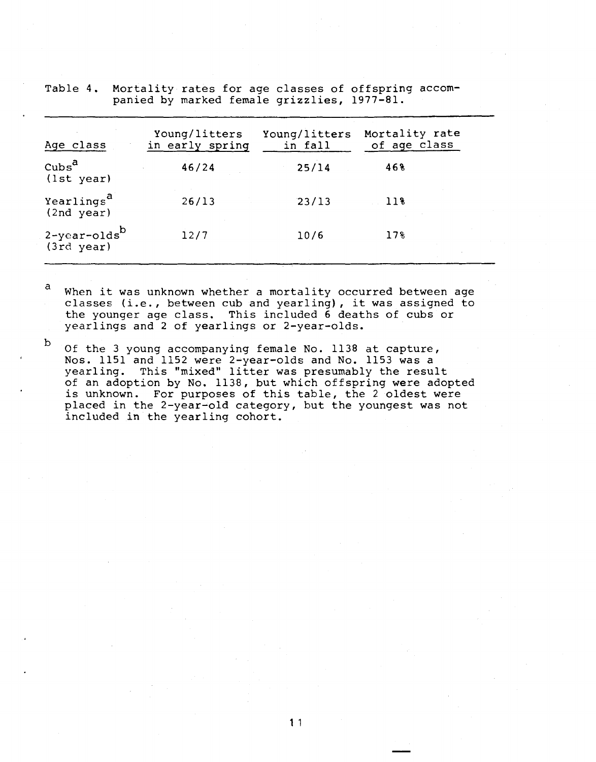| Age class                                  | Young/litters<br>in early spring | Young/litters<br>in fall | Mortality rate<br>of age class |
|--------------------------------------------|----------------------------------|--------------------------|--------------------------------|
| $\cosh^{a}$<br>(1st year)                  | 46/24                            | 25/14                    | 468                            |
| Yearlings <sup>a</sup><br>(2nd year)       | 26/13                            | 23/13                    | 118                            |
| 2-year-olds <sup>b</sup><br>$(3rd \ year)$ | 12/7                             | 10/6                     | 17%                            |

Table 4. Mortality rates for age classes of offspring accompanied by marked female grizzlies, 1977-81.

a When it was unknown whether a mortality occurred between age classes (i.e., between cub and yearling), it was assigned to the younger age class. This included 6 deaths of cubs or yearlings and 2 of yearlings or 2-year-olds.

 $b$  Of the 3 young accompanying female No. 1138 at capture, Nos. 1151 and 1152 were 2~year-olds and No. 1153 was a yearling. This "mixed" litter was presumably the result of an adoption by No. 1138, but which offspring were adopted is unknown. For purposes of this table, the 2 oldest were placed in the 2-year-old category, but the youngest was not included in the yearling cohort.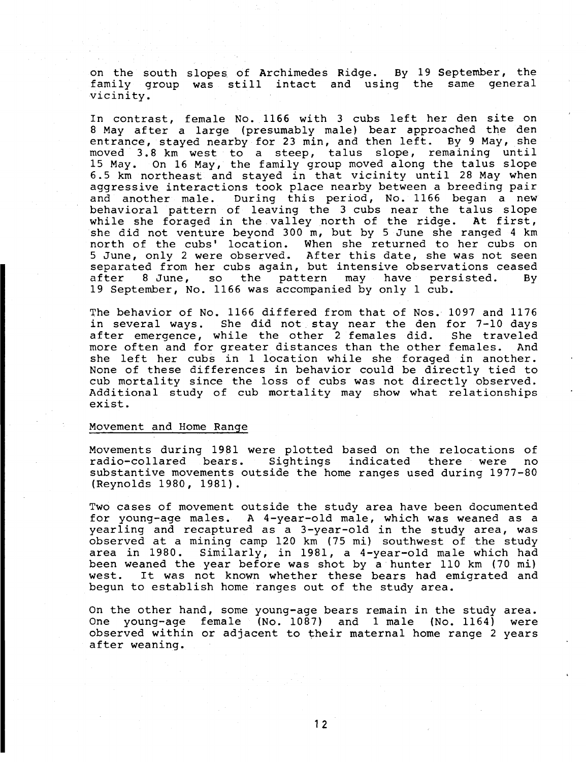on the south slopes of Archimedes Ridge. By 19 September, the family group was still intact and using the same general vicinity.

In contrast, female No. 1166 with 3 cubs left her den site on 8 May after a large (presumably male) bear approached the den entrance, stayed nearby for 23 min, and then left. By 9 May, she moved 3.8 km west to a steep, talus slope, remaining until 15 May. On 16 May, the family group moved along the talus slope 6. 5 km northeast and stayed in that vicinity until 28 May when aggressive interactions took place nearby between a breeding pair and another male. During this period, No. 1166 began a new behavioral pattern of leaving the 3 cubs near the talus slope while she foraged in the valley north of the ridge. At first, she did not venture beyond 300 m, but by 5 June she ranged 4 km north of the cubs' location. When she returned to her cubs on 5 June, only 2 were observed. After this date, she was not seen separated from her cubs again, but intensive observations ceased<br>after 8 June, so the pattern may have persisted. By the pattern may have persisted. 19 September, No. 1166 was accompanied by only 1 cub.

The behavior of No. 1166 differed from that of Nos. 1097 and 1176 in several ways. She did not stay near the den for 7-10 days after emergence, while the other 2 females did. She traveled<br>more often and for greater distances than the other females. And more often and for greater distances than the other females. she left her cubs in 1 location while she foraged in another. None of these differences in behavior could be directly tied to cub mortality since the loss of cubs was not directly observed. Additional study of cub mortality may show what relationships exist.

## Movement and Home Range

Movements during 1981 were plotted based on the relocations of<br>radio-collared bears. Sightings indicated there were no radio-collared bears. Sightings indicated there were no substantive movements outside the home ranges used during 1977-80 (Reynolds 1980, 1981).

Two cases of movement outside the study area have been documented for young-age males. A 4-year-old male, which was weaned as a yearling and recaptured as a 3-year-old in the study area, was observed at a mining camp 120 km (75 mi) southwest of the study area in 1980. Similarly, in 1981, a 4-year-old male which had been weaned the year before was shot by a hunter 110 km (70 mi) west. It was not known whether these bears had emigrated and begun to establish home ranges out of the study area.

On the other hand, some young-age bears remain in the study area. One young-age female (No. 1087) and 1 male (No. 1164) were observed within or adjacent to their maternal home range 2 years after weaning.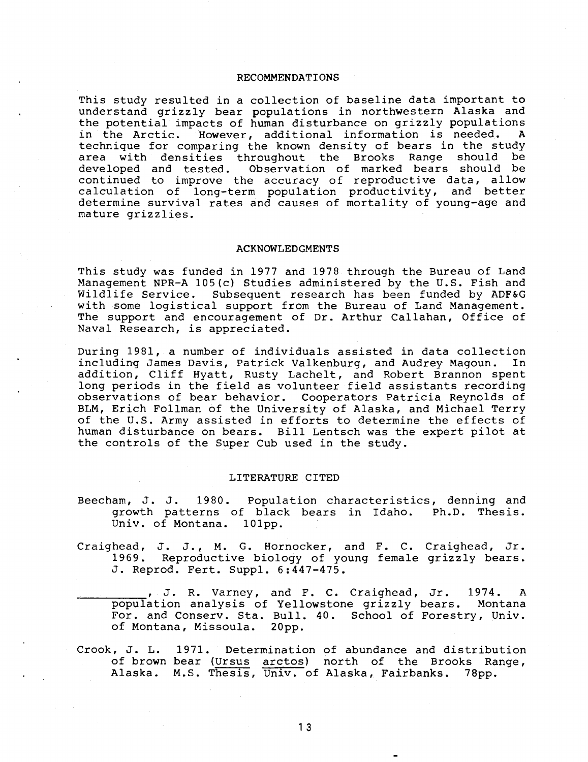## RECOMMENDATIONS

This study resulted in a collection of baseline data important to understand grizzly bear populations in northwestern Alaska and the potential impacts of human disturbance on grizzly populations<br>in the Arctic, However, additional information is needed. A in the Arctic. However, additional information is needed. technique for comparing the known density of bears in the study area with densities throughout the Brooks Range should be developed and tested. Observation of marked bears should be continued to improve the accuracy of reproductive data, allow calculation of long-term population productivity, and better determine survival rates and causes of mortality of young-age and mature grizzlies.

## ACKNOWLEDGMENTS

This study was funded in 1977 and 1978 through the Bureau of Land Management NPR-A 105(c) Studies administered by the U.S. Fish and Wildlife Service. Subsequent research has been funded by ADF&G with some logistical support from the Bureau of Land Management. The support and encouragement of Dr. Arthur Callahan, Office of Naval Research, is appreciated.

During 1981, a number of individuals assisted in data collection including James Davis, Patrick Valkenburg, and Audrey Magoun. addition, Cliff Hyatt, Rusty Lachelt, and Robert Brannon spent long periods in the field as volunteer field assistants recording observations of bear behavior. Cooperators Patricia Reynolds of BLM, Erich Follman of the University of Alaska, and Michael Terry of the U.S. Army assisted in efforts to determine the effects of human disturbance on bears. Bill Lentsch was the expert pilot at the controls of the Super Cub used in the study.

#### LITERATURE CITED

- Beecham, J. J. 19 80. Population characteristics, denning and growth patterns of black bears in Idaho. Ph.D. Thesis. Univ. of Montana. 101pp.
- Craighead, J. J., M. G. Hornocker, and F. C. Craighead, Jr. 1969. Reproductive biology of young female grizzly bears. 1969. Reproductive biology of yo<br>J. Reprod. Fert. Suppl. 6:447-475.

J. R. Varney, and F. C. Craighead, Jr. 1974. A<br>population analysis of Yellowstone grizzly bears. Montana For. and Conserv. Sta. Bull. 40. School of Forestry, Univ. of Montana, Missoula. 20pp.

Crook, J. L. 1971. Determination of abundance and distribution of brown bear (Ursus arctos) north of the Brooks Range, Alaska. M.S. Thesis, Univ. of Alaska, Fairbanks. 78pp.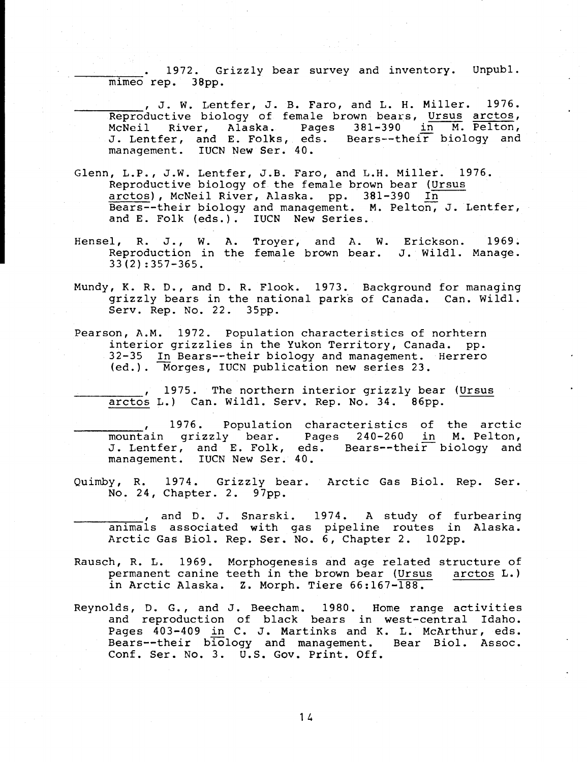1972. Grizzly bear survey and inventory. Unpubl. mimeo rep. 38pp.

, J. W. Lentfer, J. B. Faro, and L. H. Miller. 1976. Reproductive biology of female brown bears, Ursus arctos, McNeil River, Alaska. Pages 381-390 in M. Pelton, J. Lentfer, and E. Folks, eds. Bears--their biology and management. IUCN New Ser. 40.

- Glenn, L.P., J.W. Lentfer, J.B. Faro, and L.H. Miller. 1976. Reproductive biology of the female brown bear (Ursus arctos), McNeil River, Alaska. pp. 381-390 In Bears--their biology and management. M. Pelton, J. Lentfer, and E. Folk (eds.). IUCN New Series.
- Hensel, R. J., W. A. Troyer, and A. W. Erickson. 1969. Reproduction in the female brown bear. J. Wildl. Manage. 33(2) :357-365.
- Mundy, K. R. D., and D. R. Flook. 1973. Background for managing grizzly bears in the national parks of Canada. Can. Wildl. Serv. Rep. No. 22. 35pp.
- Pearson, A.M. 1972. Population characteristics of norhtern interior grizzlies in the Yukon Territory, Canada. pp. 32-35 In Bears--their biology and management. Herrero (ed.). Morges, IUCN publication new series 23.

1975. The northern interior grizzly bear (Ursus arctos L.) Can. Wildl. Serv. Rep. No. 34. 86pp.

1976. Population characteristics of the arctic<br>mountain grizzly bear. Pages 240-260 in M. Pelton, , 1976. Population characteristics of the arctic J. Lentfer, and E. Folk, eds. Bears--their biology and management. IUCN New Ser. 40.

Quimby, R. 1974. Grizzly bear. Arctic Gas Biol. Rep. Ser. No. 24, Chapter. 2. 97pp.

, and D. J. Snarski. 1974. A study of furbearing<br>animals associated with gas pipeline routes in Alaska. Arctic Gas Biol. Rep. Ser. No. 6, Chapter 2. 102pp.

- Rausch, R. L. 1969. Morphogenesis and age related structure of<br>permanent canine teeth in the brown bear (Ursus arctos L.) permanent canine teeth in the brown bear (Ursus in Arctic Alaska. z. Morph. Tiere 66:167-188.
- Reynolds, D. G., and J. Beecham. 1980. Home range activities and reproduction of black bears in west-central Idaho. Pages 403-409 in C. J. Martinks and K. L. McArthur, eds. Bears--their biology and management. Bear Biol. Assoc. Conf. Ser. No. 3. U.S. Gov. Print. Off.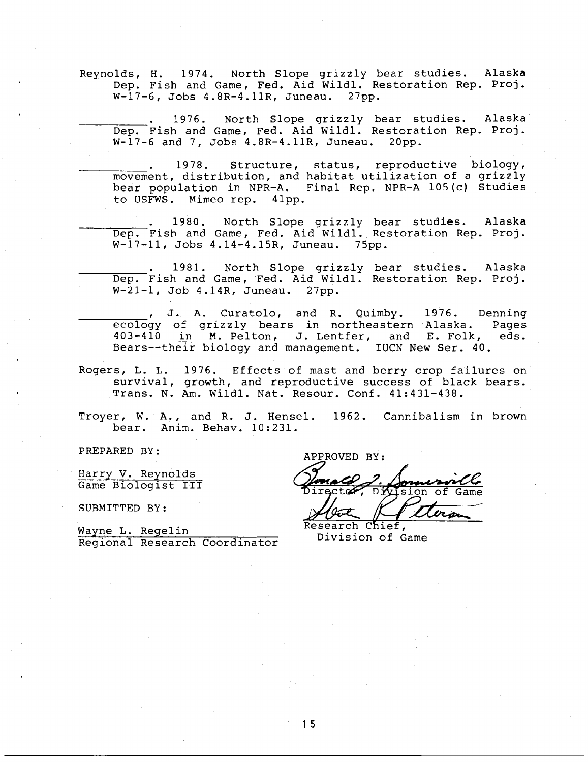Reynolds, H. 1974. North Slope grizzly bear studies. Alaska Dep. Fish and Game, Fed. Aid Wildl. Restoration Rep. Proj. W-17-6, Jobs 4.8R-4.11R, Juneau. 27pp.

. 1976. North Slope grizzly bear studies. Alaska Dep. Fish and Game, Fed. Aid Wildl. Restoration Rep. Proj. W-17-6 and 7, Jobs 4.8R-4.11R, Juneau. 20pp.

1978. Structure, status, reproductive biology, movement, distribution, and habitat utilization of a grizzly bear population in NPR-A. Final Rep. NPR-A 105(c) Studies to USFWS. Mimeo rep. 41pp.

1980. North Slope grizzly bear studies. Alaska Dep. Fish and Game, Fed. Aid Wildl. Restoration Rep. Proj. W-17-11, Jobs 4.14-4.15R, Juneau. 75pp.

1981. North Slope grizzly bear studies. Alaska Dep. Fish and Game, Fed. Aid Wildl. Restoration Rep. Proj. W-21-1, Job 4.14R, Juneau. 27pp.

J. A. Curatolo, and R. Quimby. 1976. Denning<br>ecology of grizzly bears in northeastern Alaska. Pages<br>403-410 in M. Pelton. J. Lentfer. and E. Folk. eds.  $403-410$  in M. Pelton, J. Lentfer, and E. Folk, Bears--their biology and management. IUCN New Ser. 40.

Rogers, L. L. 1976. Effects of mast and berry crop failures on survival, growth, and reproductive success of black bears. Trans. N. Am. Wildl. Nat. Resour. Conf. 41:431-438.

Troyer, W. A., and R. J. Hensel. 1962. Cannibalism in brown bear. Anim. Behav. 10:231.

Harry V. Reynolds Game Biologist III

SUBMITTED BY:

Wayne L. Regelin Regional Research Coordinator

PREPARED BY: APPROVED BY: Director, Division of Game <u>Irm</u>

Research Chief. Division of Game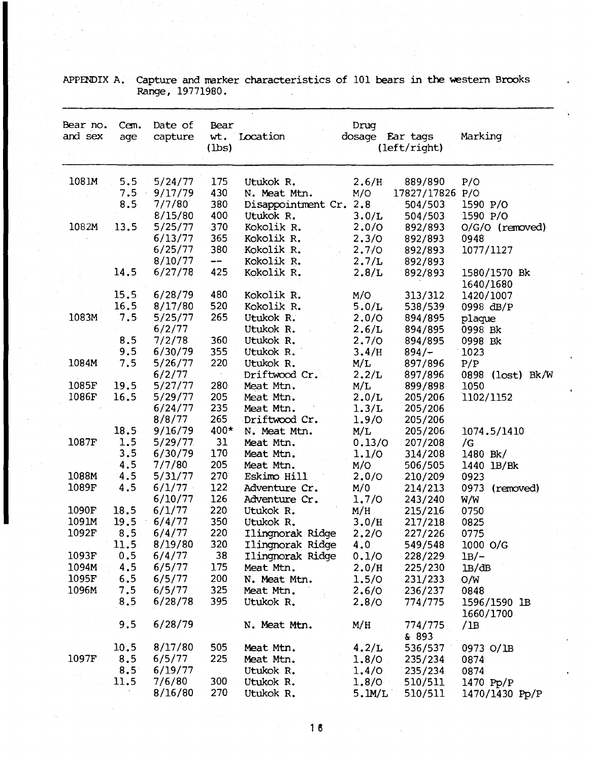| Bear no.<br>and sex | Cem.<br>age   | Date of<br>capture | Bear<br>wt.<br>(1bs) | Location                             | Drug<br>dosage Ear tags | (left/right)       | Marking                   |
|---------------------|---------------|--------------------|----------------------|--------------------------------------|-------------------------|--------------------|---------------------------|
| 1081M               | 5.5           | 5/24/77            | 175                  | Utukok R.                            | 2.6/H                   | 889/890            | P/O                       |
|                     | 7.5           | 9/17/79            | 430                  | N. Meat Mtn.                         | M/O                     | 17827/17826 P/O    |                           |
|                     | 8.5           | 7/7/80             | 380                  | Disappointment Cr.                   | 2.8                     | 504/503            | 1590 P/O                  |
|                     |               | 8/15/80            | 400                  | Utukok R.                            | 3.0/L                   | 504/503            | 1590 P/O                  |
| 1082M               | 13.5          | 5/25/77            | 370                  | Kokolik R.                           | 2.0/0                   | 892/893            | $O/G/O$ (removed)         |
|                     |               | 6/13/77            | 365                  | Kokolik R.                           | 2.3/0                   | 892/893            | 0948                      |
|                     |               | 6/25/77            | 380                  | Kokolik R.                           | 2.7/0                   | 892/893            | 1077/1127                 |
|                     |               | 8/10/77            | $\frac{1}{2}$        | Kokolik R.                           | 2.7/L                   | 892/893            |                           |
|                     | 14.5          | 6/27/78            | 425                  | Kokolik R.                           | 2.8/L                   | 892/893            | 1580/1570 Bk<br>1640/1680 |
|                     | 15.5          | 6/28/79            | 480                  | Kokolik R.                           | M/O                     | 313/312            | 1420/1007                 |
|                     | 16.5          | 8/17/80            | 520                  | Kokolik R.                           | 5.0/L                   | 538/539            | 0998 dB/P                 |
| 1083M               | 7.5           | 5/25/77            | 265                  | Utukok R.                            | 2.0/0                   | 894/895            | plaque                    |
|                     |               | 6/2/77             |                      | Utukok R.                            | 2.6/L                   | 894/895            | 0998 Bk                   |
|                     | 8.5           | 7/2/78             | 360                  | Utukok R.                            | 2.7/0                   | 894/895            | 0998 Bk                   |
|                     | 9.5           | 6/30/79            | 355                  | Utukok R.                            | 3.4/H                   | $894/-$            | 1023                      |
| 1084M               | 7.5           | 5/26/77            | 220                  | Utukok R.                            | M/L                     | 897/896            | P/P                       |
|                     |               | 6/2/77             |                      | Driftwood Cr.                        | 2.2/L                   | 897/896            | 0898<br>(lost) BK/W       |
| 1085F               | 19.5          | 5/27/77            | 280                  | Meat Mtn.                            | M/L                     | 899/898            | 1050                      |
| 1086F               | 16.5          | 5/29/77            | 205                  | Meat Mtn.                            | 2.0/L                   | 205/206            | 1102/1152                 |
|                     |               | 6/24/77            | 235                  | Meat Mtn.                            | 1.3/L                   | 205/206            |                           |
|                     |               | 8/8/77             | 265                  | Driftwood Cr.                        | 1.9/0                   | 205/206            |                           |
|                     | 18.5          | 9/16/79            | 400*                 | N. Meat Mtn.                         | M/L                     | 205/206            | 1074.5/1410               |
| 1087F               | 1.5           | 5/29/77            | 31                   | Meat Mtn.                            | 0.13/0                  | 207/208            | /G                        |
|                     | 3.5           | 6/30/79            | 170                  | Meat Mtn.                            | 1.1/0                   | 314/208            | 1480 Bk/                  |
|                     | 4.5           | 7/7/80             | 205                  | Meat Mtn.                            | M/O                     | 506/505            | 1440 1B/Bk                |
| 1088M               | 4.5           | 5/31/77            | 270                  | Eskimo Hill                          | 2.0/0                   | 210/209            | 0923                      |
| 1089F               | 4.5           | 6/1/77             | 122                  | Adventure Cr.                        | M/0                     | 214/213            | 0973<br>(removed)         |
|                     |               | 6/10/77            | 126                  | Adventure Cr.                        | 1.7/0                   | 243/240            | W/W                       |
| 1090F<br>1091M      | 18.5          | 6/1/77<br>6/4/77   | 220<br>350           | Utukok R.                            | M/H                     | 215/216            | 0750                      |
| 1092F               | 19.5<br>8.5   | 6/4/77             | 220                  | Utukok R.                            | 3.0/H                   | 217/218            | 0825                      |
|                     | 11.5          | 8/19/80            | 320                  | Ilingnorak Ridge<br>Ilingnorak Ridge | 2.2/0<br>4.0            | 227/226<br>549/548 | 0775<br>1000 O/G          |
| 1093F               | 0.5           | 6/4/77             | 38                   | Ilingnorak Ridge                     | 0.1/0                   | 228/229            | $1B/-$                    |
| 1094M               | 4.5           | 6/5/77             | 175                  | Meat Mtn.                            | 2.0/H                   | 225/230            | 1B/dB                     |
| 1095F               | 6.5           | 6/5/77             | 200                  | N. Meat Mtn.                         | 1.5/0                   | 231/233            | O/W                       |
| 1096M               | 7.5           | 6/5/77             | 325                  | Meat Mtn.                            | 2.6/0                   | 236/237            | 0848                      |
|                     | 8.5           | 6/28/78            | 395                  | Utukok R.                            | 2,8/0                   | 774/775            |                           |
|                     |               |                    |                      |                                      |                         |                    | 1596/1590 lB<br>1660/1700 |
|                     | 9.5           | 6/28/79            |                      | N. Meat Mtn.                         | M/H                     | 774/775            | /1B                       |
|                     |               |                    |                      |                                      |                         | & 893              |                           |
|                     | 10.5          | 8/17/80            | 505                  | Meat Mtn.                            | 4.2/L                   | 536/537            | 0973 O/1B                 |
| 1097F               | 8.5           | 6/5/77             | 225                  | Meat Mtn.                            | 1.8/O                   | 235/234            | 0874                      |
|                     | $8.5^{\circ}$ | 6/19/77            |                      | Utukok R.                            | 1.4/0                   | 235/234            | 0874                      |
|                     | 11.5          | 7/6/80             | 300                  | Utukok R.                            | 1.8/O                   | 510/511            | 1470 Pp/P                 |
|                     |               | 8/16/80            | 270                  | Utukok R.                            | 5.1M/L                  | 510/511            | 1470/1430 Pp/P            |

APPENDIX A. Capture and marker characteristics of 101 bears in the western Brooks Range, 19771980.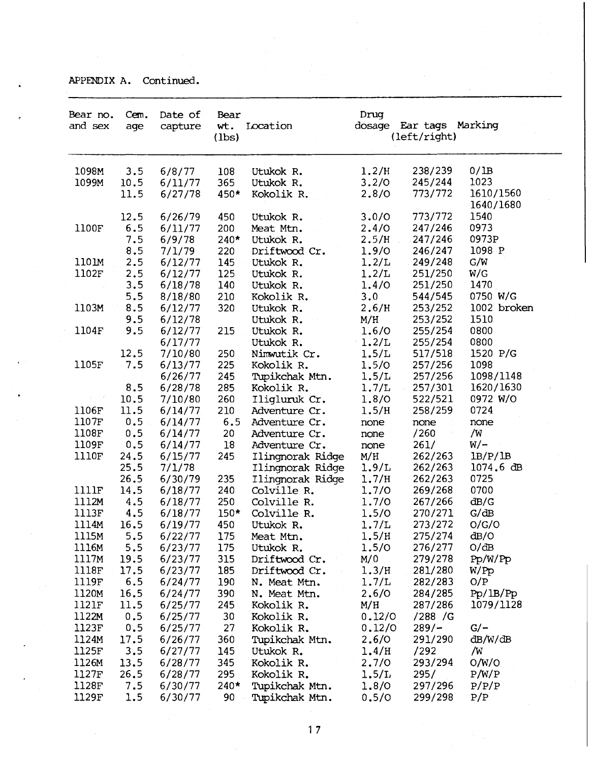APPENDIX A. Continued.

| Bear no.<br>and sex | Cem.<br>age | Date of<br>capture | Bear<br>wt.<br>(lbs) | Location                         | Drug<br>dosage | Ear tags Marking<br>(left/right) |                        |
|---------------------|-------------|--------------------|----------------------|----------------------------------|----------------|----------------------------------|------------------------|
| 1098M               | 3.5         | 6/8/77             | 108                  | Utukok R.                        | 1.2/H          | 238/239                          | 0/IB                   |
| 1099M               | 10.5        | 6/11/77            | 365                  | Utukok R.                        | 3.2/0          | 245/244                          | 1023                   |
|                     | 11.5        | 6/27/78            | 450*                 | Kokolik R.                       | 2.8/0          | 773/772                          | 1610/1560<br>1640/1680 |
|                     | 12.5        | 6/26/79            | 450                  | Utukok R.                        | 3.0/0          | 773/772                          | 1540                   |
| 1100F               | 6.5         | 6/11/77            | 200                  | Meat Mtn.                        | 2.4/0          | 247/246                          | 0973                   |
|                     | 7.5         | 6/9/78             | $240*$               | Utukok R.                        | 2.5/H          | 247/246                          | 0973P                  |
|                     | 8.5         | 7/1/79             | 220                  | Driftwood Cr.                    | 1.9/0          | 246/247                          | 1098 P                 |
| 1101M               | 2.5         | 6/12/77            | 145                  | Utukok R.                        | 1.2/L          | 249/248                          | G/W                    |
| 1102F               | 2.5         | 6/12/77            | 125                  | Utukok R.                        | 1.2/L          | 251/250                          | W/G                    |
|                     | 3.5         | 6/18/78            | 140                  | Utukok R.                        | 1.4/0          | 251/250                          | 1470                   |
|                     | 5.5         | 8/18/80            | 210                  | Kokolik R.                       | 3.0            | 544/545                          | 0750 W/G               |
| 1103M               | 8.5         | 6/12/77            | 320                  | Utukok R.                        | 2.6/H          | 253/252                          | 1002 broken            |
|                     | 9.5         | 6/12/78            |                      | Utukok R.                        | M/H            | 253/252                          | 1510                   |
| 1104F               | 9.5         | 6/12/77            | 215                  | Utukok R.                        | 1.6/0          | 255/254                          | 0800                   |
|                     |             | 6/17/77            |                      | Utukok R.                        | 1.2/L          | 255/254                          | 0800                   |
|                     | 12.5        | 7/10/80            | 250                  | Nimwutik Cr.                     | 1.5/L          | 517/518                          | 1520 P/G               |
| 1105F               | 7.5         | 6/13/77            | 225                  | Kokolik R.                       | 1.5/0          | 257/256                          | 1098                   |
|                     |             | 6/26/77            | 245                  | Tupikchak Mtn.                   | 1.5/L          | 257/256                          | 1098/1148              |
|                     | 8.5         | 6/28/78            | 285                  | Kokolik R.                       | 1.7/L          | 257/301                          | 1620/1630              |
|                     | 10.5        | 7/10/80            | 260                  | Iligluruk Cr.                    | 1.8/0          | 522/521                          | 0972 W/O               |
| 1106F               | 11.5        | 6/14/77            | 210                  | Adventure Cr.                    | 1.5/H          | 258/259                          | 0724                   |
| 1107F               | 0.5         | 6/14/77            | 6.5                  | Adventure Cr.                    | none           | none                             | none                   |
| 1108F               | 0.5         | 6/14/77            | 20                   | Adventure Cr.                    | none           | /260                             | /W                     |
| 1109F               | 0.5         | 6/14/77            | 18                   | Adventure Cr.                    | none           | 261/                             | $W$ /-                 |
| 1110F               | 24.5        | 6/15/77            | 245                  | Ilingnorak Ridge                 | M/H            | 262/263                          | $l$ B/P/ $l$ B         |
|                     | 25.5        | 7/1/78             |                      | Ilingnorak Ridge                 | 1.9/L          | 262/263                          | $1074.6$ dB            |
|                     | 26.5        | 6/30/79            | 235                  | Ilingnorak Ridge                 | 1.7/H          | 262/263                          | 0725                   |
| 1111F               | 14.5        | 6/18/77            | 240                  | Colville R.                      | 1.7/0          | 269/268                          | 0700                   |
| 1112M               | 4.5         | 6/18/77            | 250                  | Colville R.                      | 1.7/0          | 267/266                          | dB/G                   |
| 1113F               | 4.5         | 6/18/77            | $150*$               | Colville R.                      | 1.5/0          | 270/271                          | G/dB                   |
| 1114M               | 16.5        | 6/19/77            | 450                  | Utukok R.                        | 1.7/L          | 273/272                          | O/G/O                  |
| 1115M               | 5.5         | 6/22/77            | 175                  | Meat Mtn.                        | 1.5/H          | 275/274                          | dB/O                   |
| 1116M               | 5.5         | 6/23/77            | 175                  | Utukok R.                        | 1.5/0          | 276/277                          | O/dB                   |
| 1117M               | 19.5        | 6/23/77            | 315                  | Driftwood Cr.                    | M/0            | 279/278                          | Pp/W/Pp                |
| 1118F               | 17.5        | 6/23/77            | 185                  | Driftwood Cr.                    | 1.3/H          | 281/280                          | W/PP                   |
| 1119F               | 6.5         | 6/24/77            | 190                  | N. Meat Mtn.                     | 1.7/L          | 282/283                          | O/P                    |
| 1120M               | 16.5        | 6/24/77            | 390                  | N. Meat Mtn.                     | 2,6/0          | 284/285                          | Pp/IB/Pp               |
| 1121F               | 11.5        | 6/25/77            | 245                  | Kokolik R.                       | M/H            | 287/286                          | 1079/1128              |
| 1122M               | 0.5         | 6/25/77            | 30                   | Kokolik R.                       | 0.12/0         | /288 / G                         |                        |
| 1123F               | 0, 5        | 6/25/77            | 27                   | Kokolik R.                       | 0.12/0         | $289/-$                          | $G/-$                  |
| 1124M               | 17.5        | 6/26/77            | 360                  | Tupikchak Mtn.                   | 2,6/0          | 291/290                          | dB/W/dB                |
| 1125F               | 3.5         | 6/27/77            | 145                  | Utukok R.                        | 1.4/H          | /292                             | /W                     |
| 1126M               | 13.5        | 6/28/77            | 345                  | Kokolik R.                       | 2.7/0          | 293/294                          | O/W/O                  |
| 1127F               | 26.5        | 6/28/77            | 295                  | Kokolik R.                       | 1.5/L          | 295/                             | P/W/P                  |
| 1128F<br>1129F      | 7.5<br>1.5  | 6/30/77<br>6/30/77 | $240*$<br>90         | Tupikchak Mtn.<br>Tupikchak Mtn. | 1.8/0<br>0.5/0 | 297/296<br>299/298               | P/P/P<br>P/P           |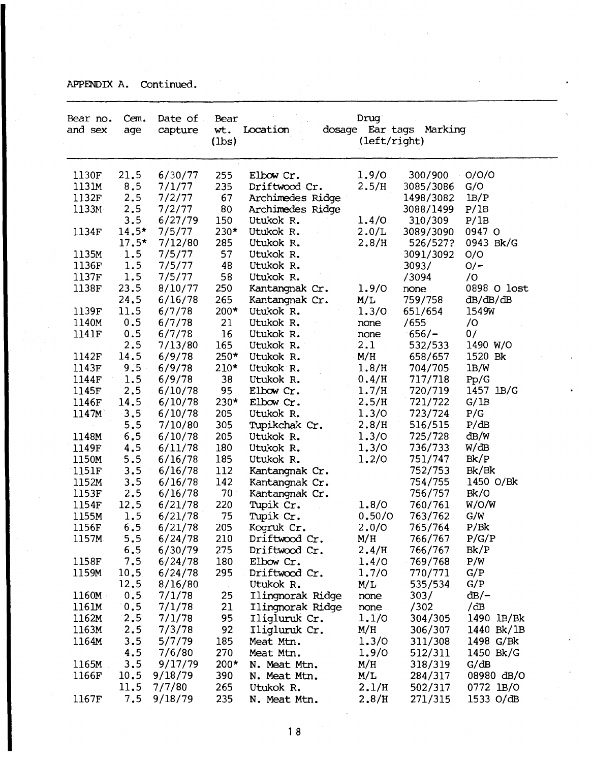APPENDIX A. Continued.

| Bear no.<br>and sex | Cem.<br>age | Date of<br>capture | Bear<br>wt.<br>$(\text{lbs})$ | Location                       | Drug<br>(left/right) | dosage Ear tags Marking |               |  |
|---------------------|-------------|--------------------|-------------------------------|--------------------------------|----------------------|-------------------------|---------------|--|
| 1130F               | 21.5        | 6/30/77            | 255                           | Elbow Cr.                      | 1.9/0                | 300/900                 | O/O/O         |  |
| 1131M               | 8.5         | 7/1/77             | 235                           | Driftwood Cr.                  | 2.5/H                | 3085/3086               | G/O           |  |
| 1132F               | 2.5         | 7/2/77             | 67                            | Archimedes Ridge               |                      | 1498/3082               | $l$ B $/$ P   |  |
| 1133M               | 2.5         | 7/2/77             | 80                            | Archimedes Ridge               |                      | 3088/1499               | P/1B          |  |
|                     | 3.5         | 6/27/79            | 150                           | Utukok R.                      | 1.4/0                | 310/309                 | P/1B          |  |
| 1134F               | $14.5*$     | 7/5/77             | $230*$                        | Utukok R.                      | 2.0/L                | 3089/3090               | 0947 O        |  |
|                     | $17.5*$     | 7/12/80            | 285                           | Utukok R.                      | 2.8/H                | 526/527?                | 0943 Bk/G     |  |
| 1135M               | $\cdot$ 1.5 | 7/5/77             | 57                            | Utukok R.                      |                      | 3091/3092               | O/O           |  |
| 1136F               | 1.5         | 7/5/77             | 48                            | Utukok R.                      |                      | 3093/                   | $O/-$         |  |
| 1137F               | 1.5         | 7/5/77             | 58                            | Utukok R.                      |                      | /3094                   | $\sqrt{O}$    |  |
| 1138F               | 23.5        | 8/10/77            | 250                           | Kantangnak Cr.                 | 1.9/0                | none                    | 0898 O lost   |  |
|                     | 24.5        | 6/16/78            | 265                           | Kantangnak Cr.                 | M/L                  | 759/758                 | dB/dB/dB      |  |
| 1139F               | 11.5        | 6/7/78             | $200*$                        | Utukok R.                      | 1.3/0                | 651/654                 | 1549W         |  |
| 1140M               | 0.5         | 6/7/78             | 21                            | Utukok R.                      | none                 | /655                    | 70            |  |
| 1141F               | 0.5         | 6/7/78             | 16                            | Utukok R.                      | none                 | $656/-$                 | 0/            |  |
|                     | 2.5         | 7/13/80            | 165                           | Utukok R.                      | 2.1                  | 532/533                 | 1490 W/O      |  |
| 1142F               | 14.5        | 6/9/78             | 250*                          | Utukok R.                      | M/H                  | 658/657                 | 1520 Bk       |  |
| 1143F               | 9.5         | 6/9/78             | $210*$                        | Utukok R.                      | 1.8/H                | 704/705                 | 1B/W          |  |
| 1144F               | 1.5         | 6/9/78             | 38                            | Utukok R.                      | 0.4/H                | 717/718                 | Pp/G          |  |
| 1145F               | 2.5         | 6/10/78            | 95                            | Elbow Cr.                      | 1.7/H                | 720/719                 | 1457 1B/G     |  |
| 1146F               | 14.5        | 6/10/78            | 230*                          | Elbow Cr.                      | 2.5/H                | 721/722                 | G/1B          |  |
| 1147M               | 3, 5        | 6/10/78            | 205                           | Utukok R.                      | 1.3/0                | 723/724                 | P/G           |  |
|                     | 5.5         | 7/10/80            | 305                           | Tupikchak Cr.                  | 2.8/H                | 516/515                 | P/dB          |  |
| 1148M               | 6.5         | 6/10/78            | 205                           | Utukok R.                      | 1.3/0                | 725/728                 | dB/W          |  |
| 1149F               | 4.5         | 6/11/78            | 180                           | Utukok R.                      | 1.3/0                | 736/733                 | W/dB          |  |
| 1150M               | 5.5         | 6/16/78            | 185                           | Utukok R.                      | 1.2/0                | 751/747                 | Bk/P          |  |
| 1151F               | 3.5         | 6/16/78            | 112                           | Kantangnak Cr.                 |                      | 752/753                 | Bk/Bk         |  |
| 1152M               | 3.5         | 6/16/78            | 142                           | Kantangnak Cr.                 |                      | 754/755                 | 1450 O/Bk     |  |
| 1153F               | 2.5         | 6/16/78            | 70                            | Kantangnak Cr.                 |                      | 756/757                 | Bk/O          |  |
| 1154F               | 12.5        | 6/21/78            | 220                           | Tupik Cr.                      | 1.8/0                | 760/761                 | W/O/W         |  |
| 1155M               | 1.5         | 6/21/78            | 75                            | Tupik Cr.                      | 0.50/0               | 763/762                 | G/W           |  |
| 1156F<br>1157M      | 6.5<br>5.5  | 6/21/78<br>6/24/78 | 205                           | Kogruk Cr.                     | 2.0/0<br>M/H         | 765/764<br>766/767      | P/Bk<br>P/G/P |  |
|                     | 6.5         | 6/30/79            | 210<br>275                    | Driftwood Cr.<br>Driftwood Cr. | 2.4/H                | 766/767                 | Bk/P          |  |
| 1158F               | 7.5         | 6/24/78            | 180                           | Elbow Cr.                      | 1.4/0                | 769/768                 | P/W           |  |
| 1159M               | 10.5        | 6/24/78            | 295                           | Driftwood Cr.                  | 1.7/0                | 770/771                 | G/P           |  |
|                     | 12.5        | 8/16/80            |                               | Utukok R.                      | M/L                  | 535/534                 | G/P           |  |
| 1160M               | 0.5         | 7/1/78             | 25                            | Ilingnorak Ridge               | none                 | 303/                    | $dB$ /–       |  |
| 1161M               | 0.5         | 7/1/78             | 21                            | Ilingnorak Ridge               | none.                | /302                    | /dB           |  |
| 1162M               | 2.5         | 7/1/78             | 95                            | Iligluruk Cr.                  | 1.1/0                | 304/305                 | 1490 lB/Bk    |  |
| 1163M               | 2.5         | 7/3/78             | 92                            | Iligluruk Cr.                  | M/H                  | 306/307                 | 1440 Bk/1B    |  |
| 1164M               | 3.5         | 5/7/79             | 185                           | Meat Mtn.                      | 1.3/0                | 311/308                 | 1498 G/Bk     |  |
|                     | 4.5         | 7/6/80             | 270                           | Meat Mtn.                      | 1.9/0                | 512/311                 | 1450 Bk/G     |  |
| 1165M               | 3.5         | 9/17/79            | $200*$                        | N. Meat Mtn.                   | M/H                  | 318/319                 | G/dB          |  |
| 1166F               | 10.5        | 9/18/79            | 390                           | N. Meat Mtn.                   | M/L                  | 284/317                 | 08980 dB/O    |  |
|                     | 11.5        | 7/7/80             | 265                           | Utukok R.                      | 2.1/H                | 502/317                 | 0772 1B/O     |  |
| 1167F               | 7.5         | 9/18/79            | 235                           | N. Meat Mtn.                   | 2.8/H                | 271/315                 | 1533 $O/dB$   |  |